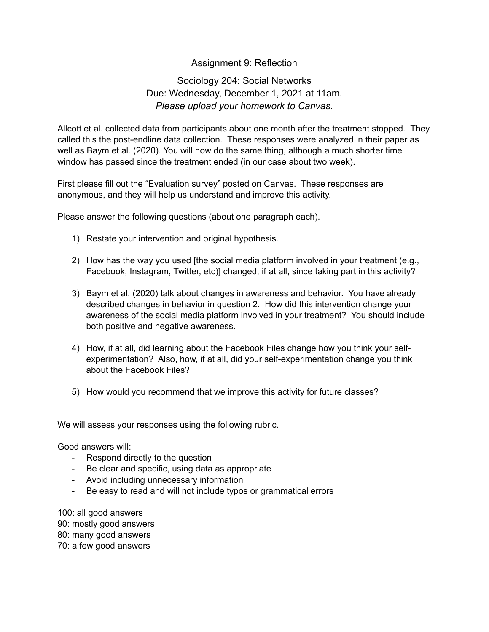## Assignment 9: Reflection

## Sociology 204: Social Networks Due: Wednesday, December 1, 2021 at 11am. *Please upload your homework to Canvas.*

Allcott et al. collected data from participants about one month after the treatment stopped. They called this the post-endline data collection. These responses were analyzed in their paper as well as Baym et al. (2020). You will now do the same thing, although a much shorter time window has passed since the treatment ended (in our case about two week).

First please fill out the "Evaluation survey" posted on Canvas. These responses are anonymous, and they will help us understand and improve this activity.

Please answer the following questions (about one paragraph each).

- 1) Restate your intervention and original hypothesis.
- 2) How has the way you used [the social media platform involved in your treatment (e.g., Facebook, Instagram, Twitter, etc)] changed, if at all, since taking part in this activity?
- 3) Baym et al. (2020) talk about changes in awareness and behavior. You have already described changes in behavior in question 2. How did this intervention change your awareness of the social media platform involved in your treatment? You should include both positive and negative awareness.
- 4) How, if at all, did learning about the Facebook Files change how you think your selfexperimentation? Also, how, if at all, did your self-experimentation change you think about the Facebook Files?
- 5) How would you recommend that we improve this activity for future classes?

We will assess your responses using the following rubric.

Good answers will:

- Respond directly to the question
- Be clear and specific, using data as appropriate
- Avoid including unnecessary information
- Be easy to read and will not include typos or grammatical errors

100: all good answers 90: mostly good answers 80: many good answers 70: a few good answers